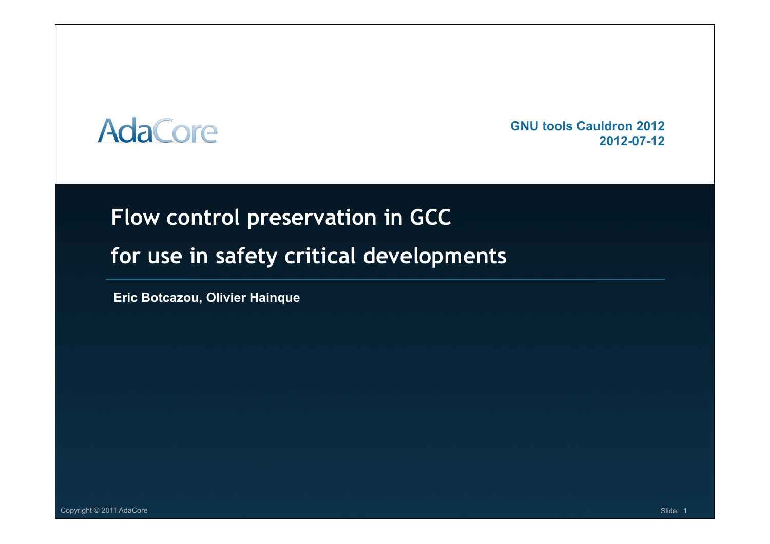## **AdaCore**

 **GNU tools Cauldron 2012 2012-07-12**

### **Flow control preservation in GCC**

### **for use in safety critical developments**

**Eric Botcazou, Olivier Hainque**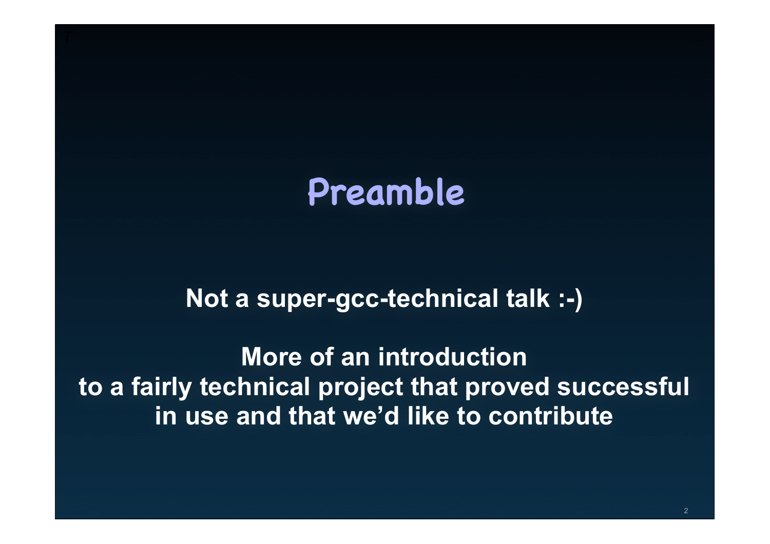## **Preamble**

### **Not a super-gcc-technical talk :-)**

**More of an introduction to a fairly technical project that proved successful in use and that we'd like to contribute**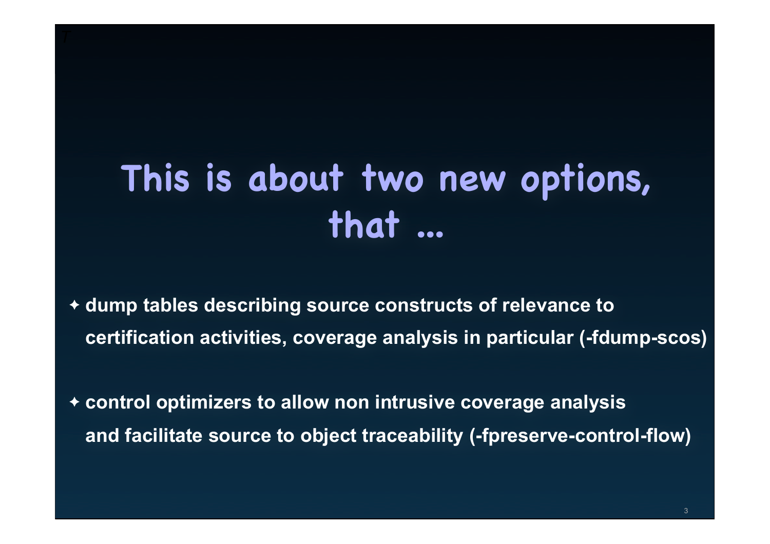# **This is about two new options, that ...**

- ✦ **dump tables describing source constructs of relevance to certification activities, coverage analysis in particular (-fdump-scos)**
- ✦ **control optimizers to allow non intrusive coverage analysis and facilitate source to object traceability (-fpreserve-control-flow)**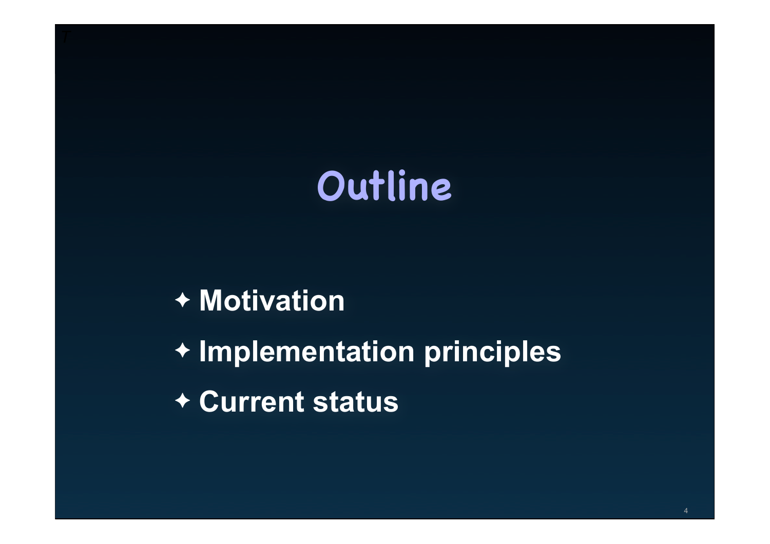# **Outline**

## ✦ **Motivation**

✦ **Implementation principles**

✦ **Current status**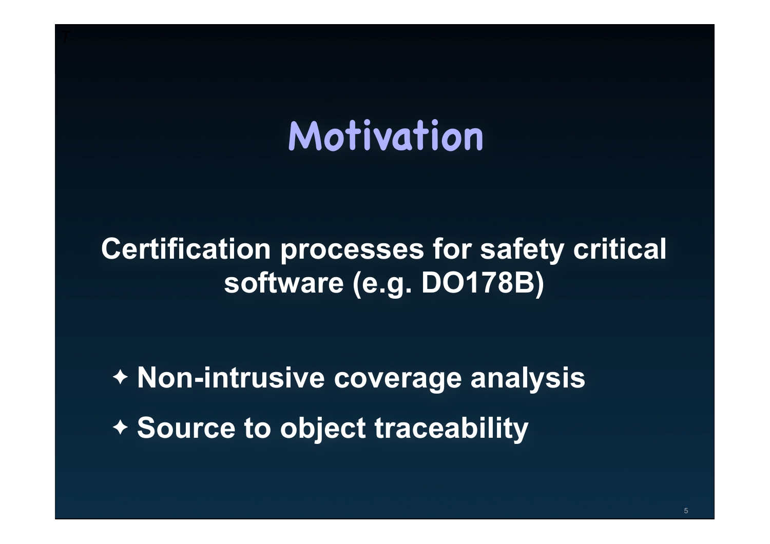# **Motivation**

## **Certification processes for safety critical software (e.g. DO178B)**

✦ **Non-intrusive coverage analysis** ✦ **Source to object traceability**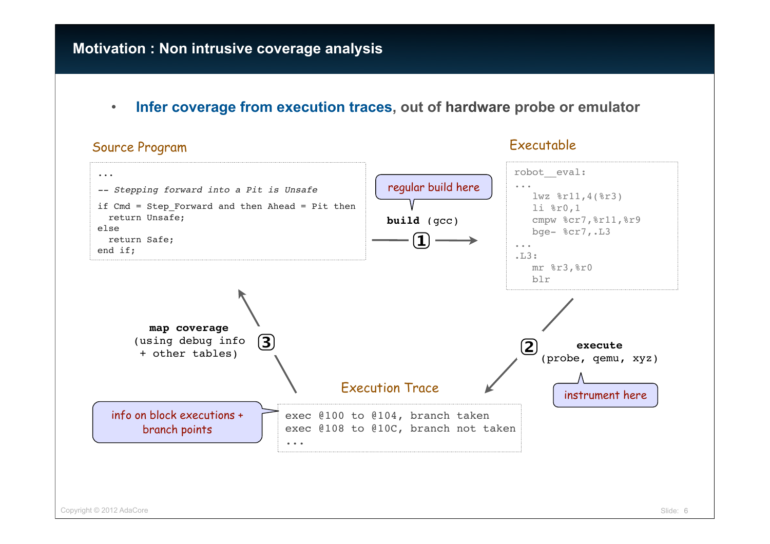#### **Motivation : Non intrusive coverage analysis**

• **Infer coverage from execution traces, out of hardware probe or emulator**

#### Source Program

#### Executable

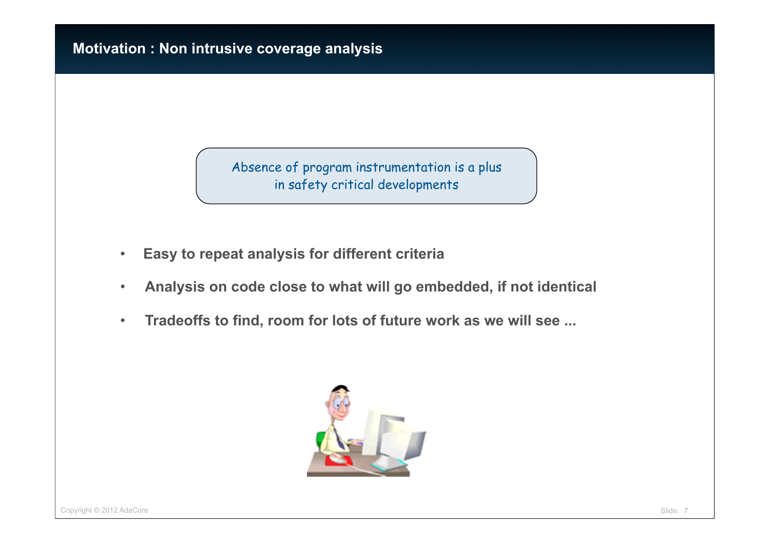Absence of program instrumentation is a plus in safety critical developments

- **Easy to repeat analysis for different criteria**
- **Analysis on code close to what will go embedded, if not identical**
- **Tradeoffs to find, room for lots of future work as we will see ...**

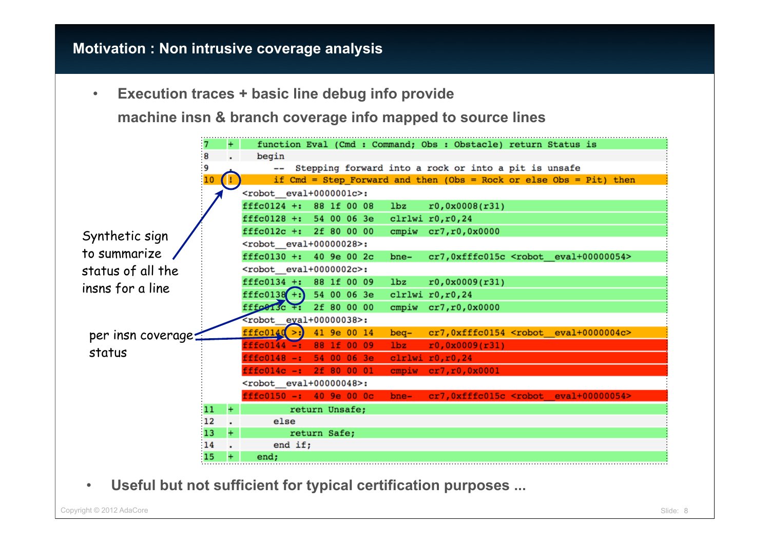#### **Motivation : Non intrusive coverage analysis**

• **Execution traces + basic line debug info provide**

**machine insn & branch coverage info mapped to source lines**



• **Useful but not sufficient for typical certification purposes ...**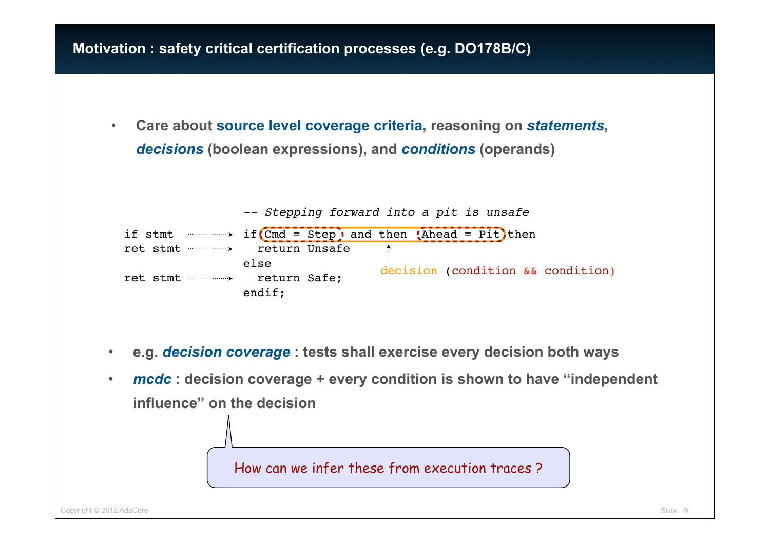#### **Motivation : safety critical certification processes (e.g. DO178B/C)**

• **Care about source level coverage criteria, reasoning on** *statements***,** *decisions* **(boolean expressions), and** *conditions* **(operands)**



- **e.g.** *decision coverage* **: tests shall exercise every decision both ways**
- *mcdc* **: decision coverage + every condition is shown to have "independent influence" on the decision**

How can we infer these from execution traces ?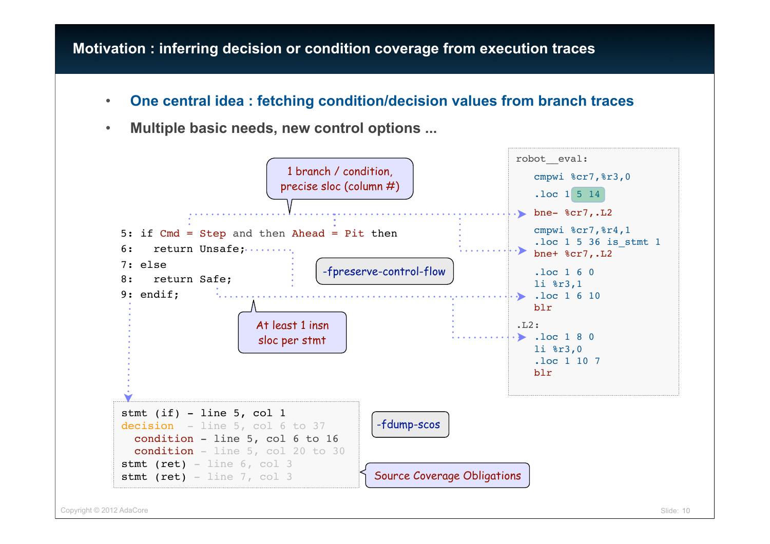#### **Motivation : inferring decision or condition coverage from execution traces**

- **One central idea : fetching condition/decision values from branch traces**
- **Multiple basic needs, new control options ...**

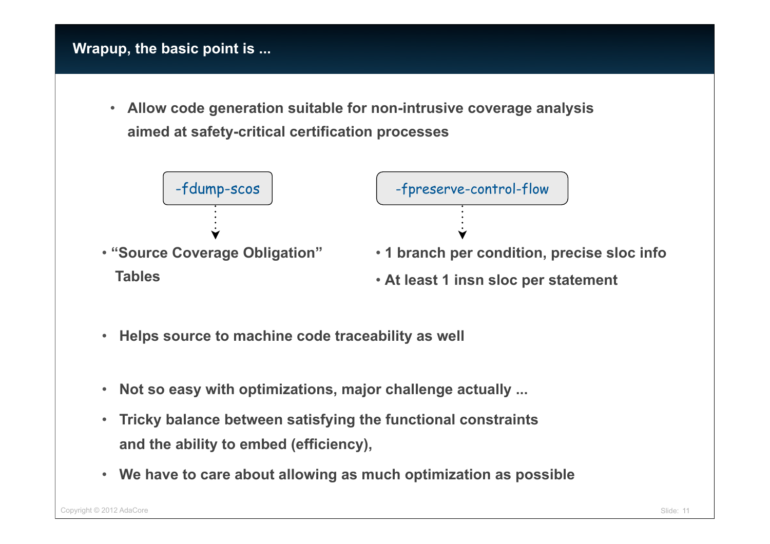#### **Wrapup, the basic point is ...**

• **Allow code generation suitable for non-intrusive coverage analysis aimed at safety-critical certification processes**



- **Helps source to machine code traceability as well**
- **Not so easy with optimizations, major challenge actually ...**
- **Tricky balance between satisfying the functional constraints and the ability to embed (efficiency),**
- **We have to care about allowing as much optimization as possible**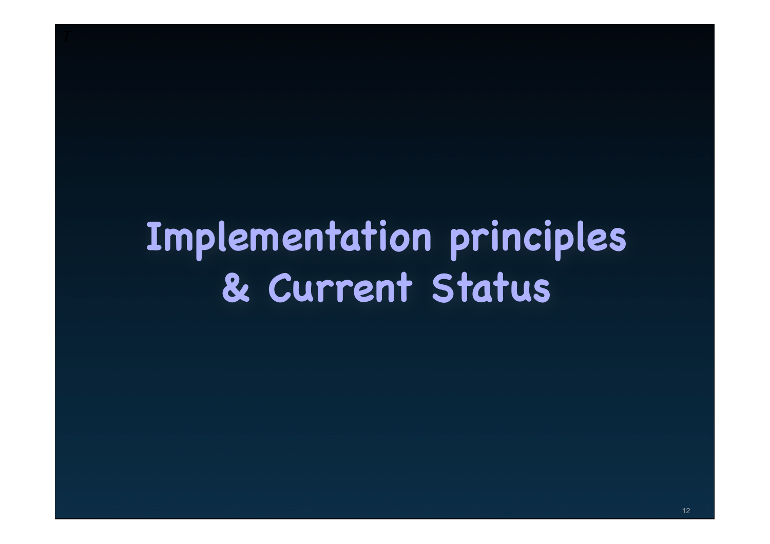# **Implementation principles & Current Status**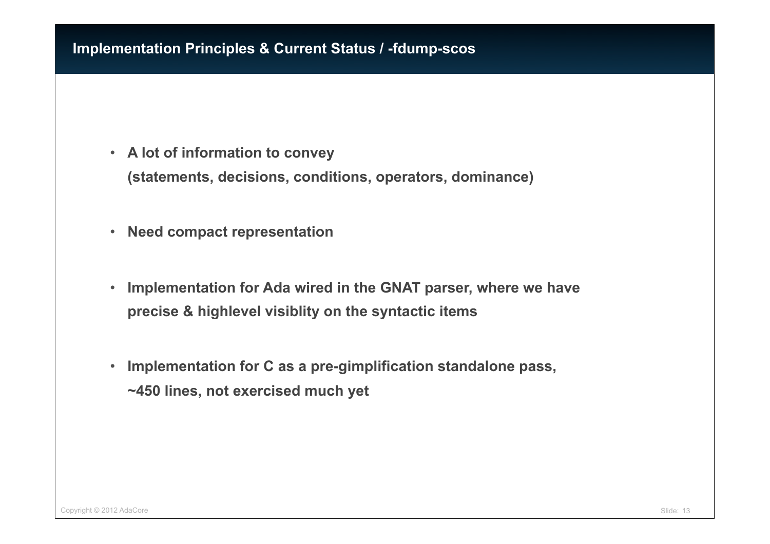#### **Implementation Principles & Current Status / -fdump-scos**

- **A lot of information to convey (statements, decisions, conditions, operators, dominance)**
- **Need compact representation**
- **Implementation for Ada wired in the GNAT parser, where we have precise & highlevel visiblity on the syntactic items**
- **Implementation for C as a pre-gimplification standalone pass, ~450 lines, not exercised much yet**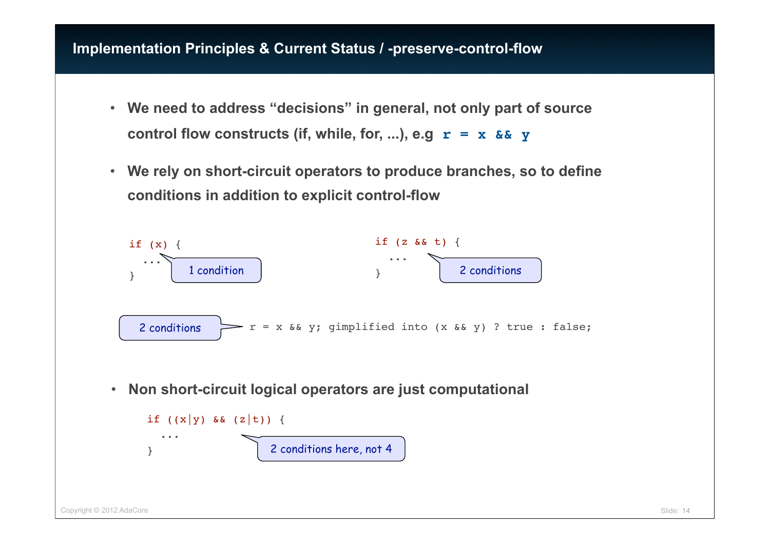- **We need to address "decisions" in general, not only part of source control flow constructs (if, while, for, ...), e.g r = x && y**
- **We rely on short-circuit operators to produce branches, so to define conditions in addition to explicit control-flow**

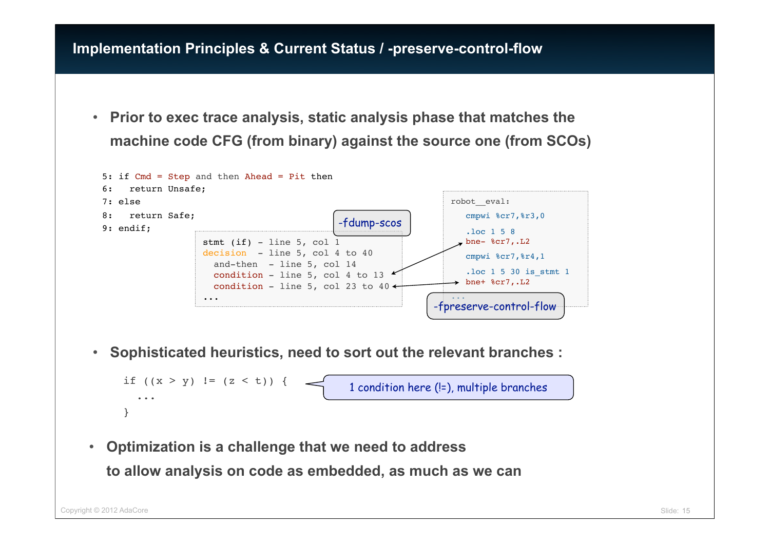• **Prior to exec trace analysis, static analysis phase that matches the machine code CFG (from binary) against the source one (from SCOs)**



• **Sophisticated heuristics, need to sort out the relevant branches :**

```
if ((x > y) != (z < t)) {
   ...
}
                                          1 condition here (!=), multiple branches
```
• **Optimization is a challenge that we need to address to allow analysis on code as embedded, as much as we can**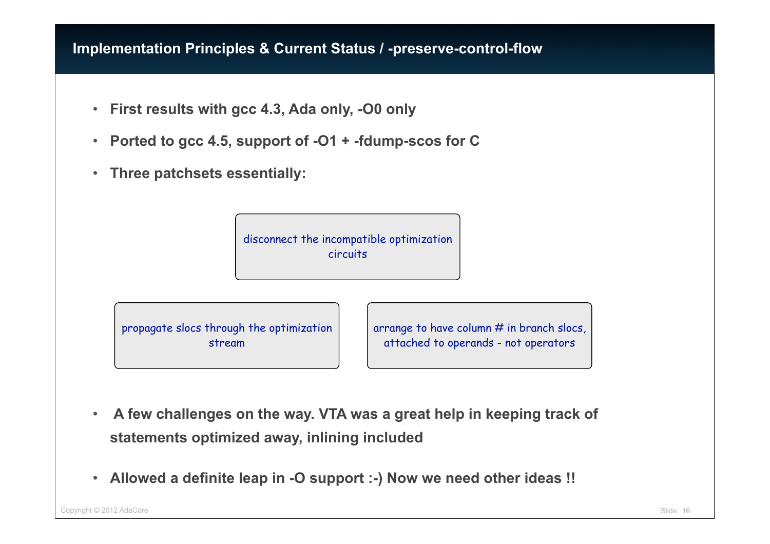- **First results with gcc 4.3, Ada only, -O0 only**
- **Ported to gcc 4.5, support of -O1 + -fdump-scos for C**
- **Three patchsets essentially:**

disconnect the incompatible optimization circuits

propagate slocs through the optimization stream

arrange to have column  $#$  in branch slocs, attached to operands - not operators

- • **A few challenges on the way. VTA was a great help in keeping track of statements optimized away, inlining included**
- **Allowed a definite leap in -O support :-) Now we need other ideas !!**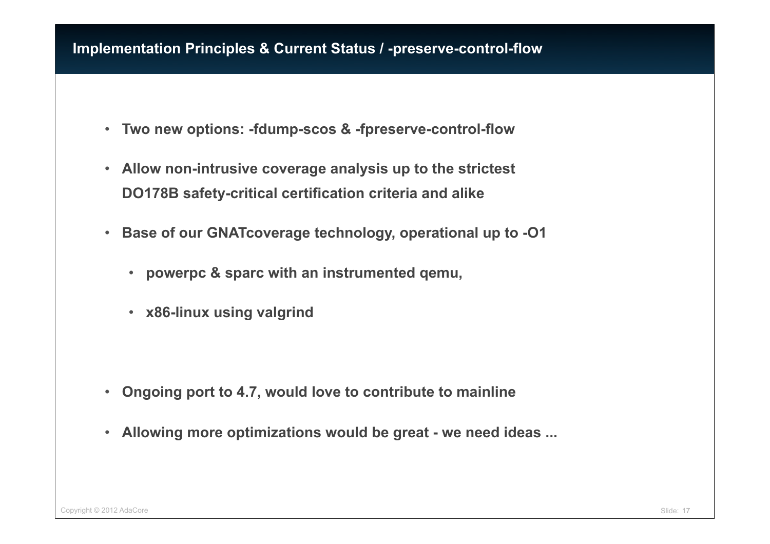- **Two new options: -fdump-scos & -fpreserve-control-flow**
- **Allow non-intrusive coverage analysis up to the strictest DO178B safety-critical certification criteria and alike**
- **Base of our GNATcoverage technology, operational up to -O1**
	- **powerpc & sparc with an instrumented qemu,**
	- **x86-linux using valgrind**

- **Ongoing port to 4.7, would love to contribute to mainline**
- **Allowing more optimizations would be great we need ideas ...**